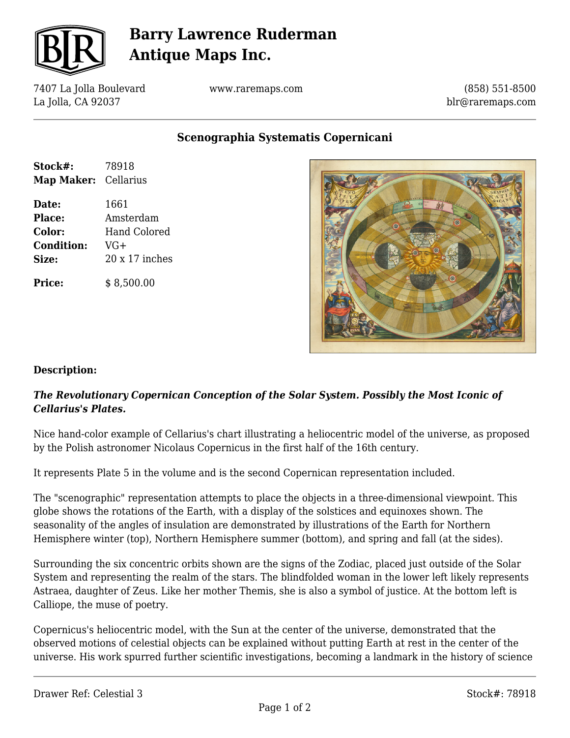

# **Barry Lawrence Ruderman Antique Maps Inc.**

7407 La Jolla Boulevard La Jolla, CA 92037

www.raremaps.com

(858) 551-8500 blr@raremaps.com

## **Scenographia Systematis Copernicani**

| Stock#:              | 78918               |
|----------------------|---------------------|
| Map Maker: Cellarius |                     |
| Date:                | 1661                |
| <b>Place:</b>        | Amsterdam           |
| <b>Color:</b>        | <b>Hand Colored</b> |
| <b>Condition:</b>    | VG+                 |
| <b>Size:</b>         | 20 x 17 inches      |
| <b>Price:</b>        | \$8,500.00          |



### **Description:**

### *The Revolutionary Copernican Conception of the Solar System. Possibly the Most Iconic of Cellarius's Plates.*

Nice hand-color example of Cellarius's chart illustrating a heliocentric model of the universe, as proposed by the Polish astronomer Nicolaus Copernicus in the first half of the 16th century.

It represents Plate 5 in the volume and is the second Copernican representation included.

The "scenographic" representation attempts to place the objects in a three-dimensional viewpoint. This globe shows the rotations of the Earth, with a display of the solstices and equinoxes shown. The seasonality of the angles of insulation are demonstrated by illustrations of the Earth for Northern Hemisphere winter (top), Northern Hemisphere summer (bottom), and spring and fall (at the sides).

Surrounding the six concentric orbits shown are the signs of the Zodiac, placed just outside of the Solar System and representing the realm of the stars. The blindfolded woman in the lower left likely represents Astraea, daughter of Zeus. Like her mother Themis, she is also a symbol of justice. At the bottom left is Calliope, the muse of poetry.

Copernicus's heliocentric model, with the Sun at the center of the universe, demonstrated that the observed motions of celestial objects can be explained without putting Earth at rest in the center of the universe. His work spurred further scientific investigations, becoming a landmark in the history of science